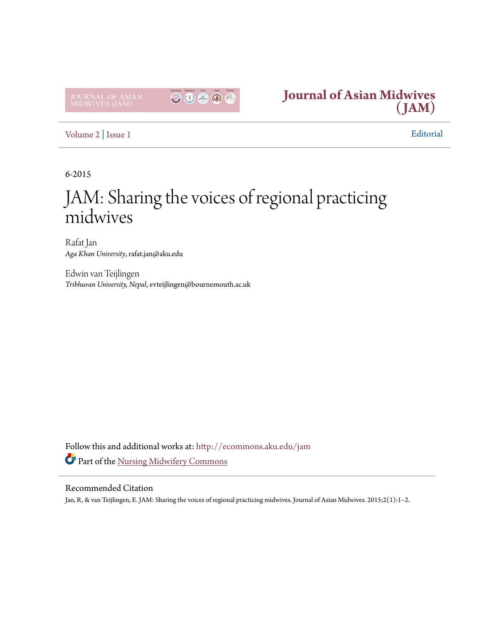



[Volume 2](http://ecommons.aku.edu/jam/vol2?utm_source=ecommons.aku.edu%2Fjam%2Fvol2%2Fiss1%2F1&utm_medium=PDF&utm_campaign=PDFCoverPages) | [Issue 1](http://ecommons.aku.edu/jam/vol2/iss1?utm_source=ecommons.aku.edu%2Fjam%2Fvol2%2Fiss1%2F1&utm_medium=PDF&utm_campaign=PDFCoverPages) Editorial

6-2015

## JAM: Sharing the voices of regional practicing midwives

Rafat Jan *Aga Khan University*, rafat.jan@aku.edu

Edwin van Teijlingen *Tribhuvan University, Nepal*, evteijlingen@bournemouth.ac.uk

Follow this and additional works at: [http://ecommons.aku.edu/jam](http://ecommons.aku.edu/jam?utm_source=ecommons.aku.edu%2Fjam%2Fvol2%2Fiss1%2F1&utm_medium=PDF&utm_campaign=PDFCoverPages) Part of the [Nursing Midwifery Commons](http://network.bepress.com/hgg/discipline/722?utm_source=ecommons.aku.edu%2Fjam%2Fvol2%2Fiss1%2F1&utm_medium=PDF&utm_campaign=PDFCoverPages)

## Recommended Citation

Jan, R, & van Teijlingen, E. JAM: Sharing the voices of regional practicing midwives. Journal of Asian Midwives. 2015;2(1):1–2.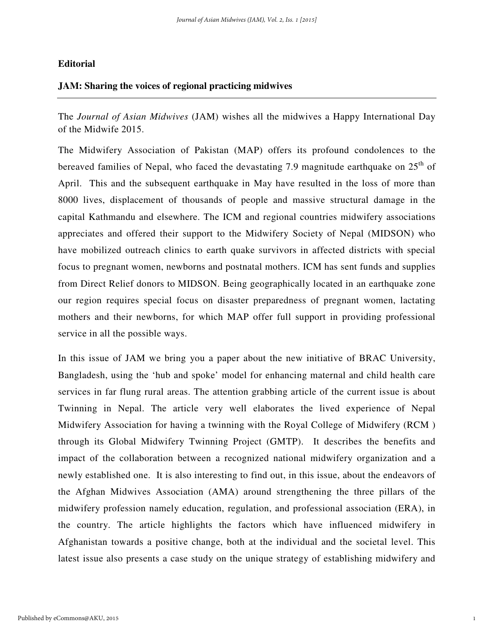## **Editorial**

## **JAM: Sharing the voices of regional practicing midwives**

The *Journal of Asian Midwives* (JAM) wishes all the midwives a Happy International Day of the Midwife 2015.

The Midwifery Association of Pakistan (MAP) offers its profound condolences to the bereaved families of Nepal, who faced the devastating 7.9 magnitude earthquake on  $25<sup>th</sup>$  of April. This and the subsequent earthquake in May have resulted in the loss of more than 8000 lives, displacement of thousands of people and massive structural damage in the capital Kathmandu and elsewhere. The ICM and regional countries midwifery associations appreciates and offered their support to the Midwifery Society of Nepal (MIDSON) who have mobilized outreach clinics to earth quake survivors in affected districts with special focus to pregnant women, newborns and postnatal mothers. ICM has sent funds and supplies from Direct Relief donors to MIDSON. Being geographically located in an earthquake zone our region requires special focus on disaster preparedness of pregnant women, lactating mothers and their newborns, for which MAP offer full support in providing professional service in all the possible ways.

In this issue of JAM we bring you a paper about the new initiative of BRAC University, Bangladesh, using the 'hub and spoke' model for enhancing maternal and child health care services in far flung rural areas. The attention grabbing article of the current issue is about Twinning in Nepal. The article very well elaborates the lived experience of Nepal Midwifery Association for having a twinning with the Royal College of Midwifery (RCM ) through its Global Midwifery Twinning Project (GMTP). It describes the benefits and impact of the collaboration between a recognized national midwifery organization and a newly established one. It is also interesting to find out, in this issue, about the endeavors of the Afghan Midwives Association (AMA) around strengthening the three pillars of the midwifery profession namely education, regulation, and professional association (ERA), in the country. The article highlights the factors which have influenced midwifery in Afghanistan towards a positive change, both at the individual and the societal level. This latest issue also presents a case study on the unique strategy of establishing midwifery and